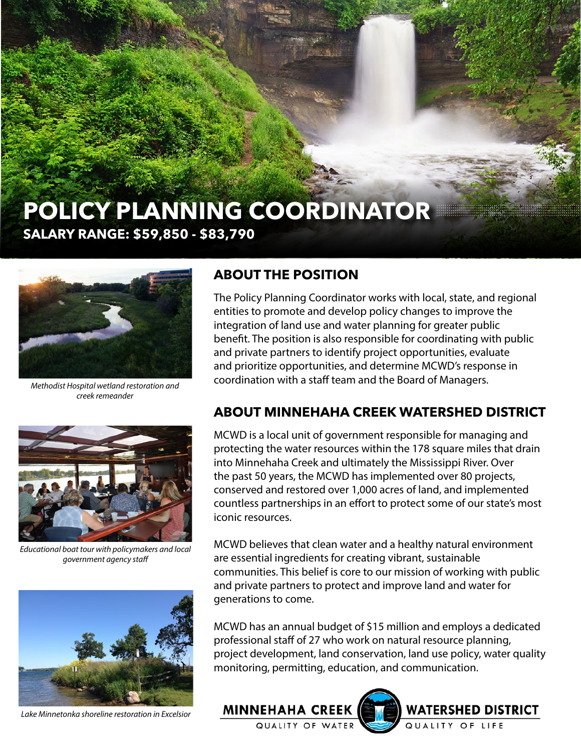# **POLICY PLANNING COORDINATOR SALARY RANGE: \$59,850 - \$83,790**



*Methodist Hospital wetland restoration and creek remeander*



*Educational boat tour with policymakers and local government agency staff*



*Lake Minnetonka shoreline restoration in Excelsior*

#### **ABOUT THE POSITION**

The Policy Planning Coordinator works with local, state, and regional entities to promote and develop policy changes to improve the integration of land use and water planning for greater public benefit. The position is also responsible for coordinating with public and private partners to identify project opportunities, evaluate and prioritize opportunities, and determine MCWD's response in coordination with a staff team and the Board of Managers.

#### **ABOUT MINNEHAHA CREEK WATERSHED DISTRICT**

MCWD is a local unit of government responsible for managing and protecting the water resources within the 178 square miles that drain into Minnehaha Creek and ultimately the Mississippi River. Over the past 50 years, the MCWD has implemented over 80 projects, conserved and restored over 1,000 acres of land, and implemented countless partnerships in an effort to protect some of our state's most iconic resources.

MCWD believes that clean water and a healthy natural environment are essential ingredients for creating vibrant, sustainable communities. This belief is core to our mission of working with public and private partners to protect and improve land and water for generations to come.

MCWD has an annual budget of \$15 million and employs a dedicated professional staff of 27 who work on natural resource planning, project development, land conservation, land use policy, water quality monitoring, permitting, education, and communication.